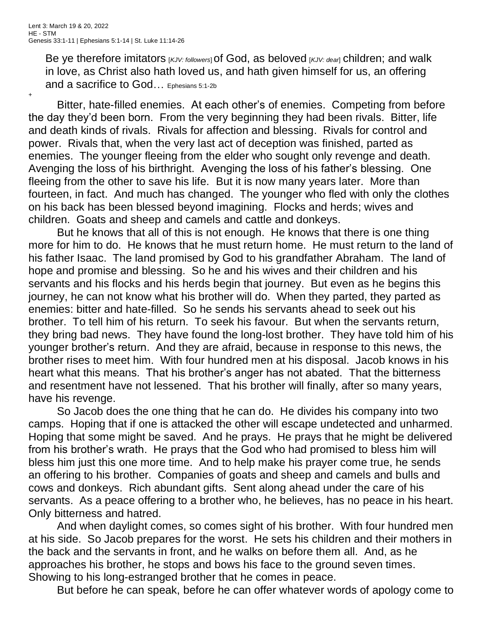Be ye therefore imitators [*KJV: followers*]of God, as beloved [*KJV: dear*] children; and walk in love, as Christ also hath loved us, and hath given himself for us, an offering and a sacrifice to God... Ephesians 5:1-2b

+

Bitter, hate-filled enemies. At each other's of enemies. Competing from before the day they'd been born. From the very beginning they had been rivals. Bitter, life and death kinds of rivals. Rivals for affection and blessing. Rivals for control and power. Rivals that, when the very last act of deception was finished, parted as enemies. The younger fleeing from the elder who sought only revenge and death. Avenging the loss of his birthright. Avenging the loss of his father's blessing. One fleeing from the other to save his life. But it is now many years later. More than fourteen, in fact. And much has changed. The younger who fled with only the clothes on his back has been blessed beyond imagining. Flocks and herds; wives and children. Goats and sheep and camels and cattle and donkeys.

But he knows that all of this is not enough. He knows that there is one thing more for him to do. He knows that he must return home. He must return to the land of his father Isaac. The land promised by God to his grandfather Abraham. The land of hope and promise and blessing. So he and his wives and their children and his servants and his flocks and his herds begin that journey. But even as he begins this journey, he can not know what his brother will do. When they parted, they parted as enemies: bitter and hate-filled. So he sends his servants ahead to seek out his brother. To tell him of his return. To seek his favour. But when the servants return, they bring bad news. They have found the long-lost brother. They have told him of his younger brother's return. And they are afraid, because in response to this news, the brother rises to meet him. With four hundred men at his disposal. Jacob knows in his heart what this means. That his brother's anger has not abated. That the bitterness and resentment have not lessened. That his brother will finally, after so many years, have his revenge.

So Jacob does the one thing that he can do. He divides his company into two camps. Hoping that if one is attacked the other will escape undetected and unharmed. Hoping that some might be saved. And he prays. He prays that he might be delivered from his brother's wrath. He prays that the God who had promised to bless him will bless him just this one more time. And to help make his prayer come true, he sends an offering to his brother. Companies of goats and sheep and camels and bulls and cows and donkeys. Rich abundant gifts. Sent along ahead under the care of his servants. As a peace offering to a brother who, he believes, has no peace in his heart. Only bitterness and hatred.

And when daylight comes, so comes sight of his brother. With four hundred men at his side. So Jacob prepares for the worst. He sets his children and their mothers in the back and the servants in front, and he walks on before them all. And, as he approaches his brother, he stops and bows his face to the ground seven times. Showing to his long-estranged brother that he comes in peace.

But before he can speak, before he can offer whatever words of apology come to